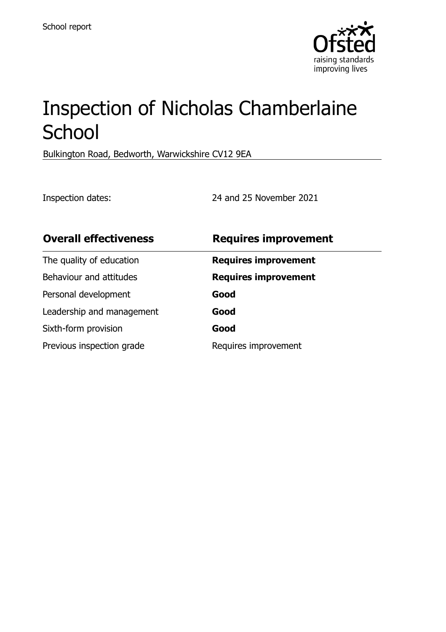

# Inspection of Nicholas Chamberlaine **School**

Bulkington Road, Bedworth, Warwickshire CV12 9EA

Inspection dates: 24 and 25 November 2021

| <b>Overall effectiveness</b> | <b>Requires improvement</b> |
|------------------------------|-----------------------------|
| The quality of education     | <b>Requires improvement</b> |
| Behaviour and attitudes      | <b>Requires improvement</b> |
| Personal development         | Good                        |
| Leadership and management    | Good                        |
| Sixth-form provision         | Good                        |
| Previous inspection grade    | Requires improvement        |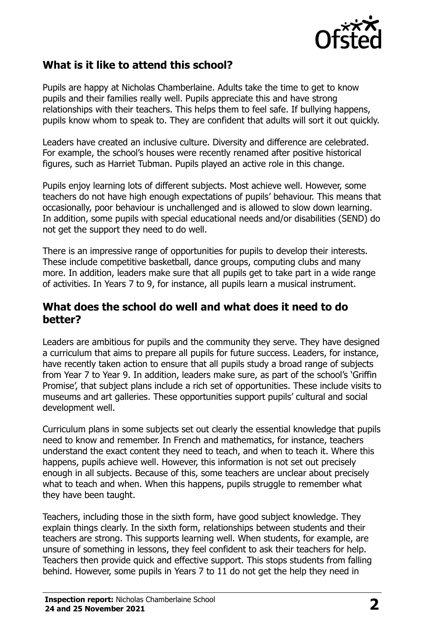

### **What is it like to attend this school?**

Pupils are happy at Nicholas Chamberlaine. Adults take the time to get to know pupils and their families really well. Pupils appreciate this and have strong relationships with their teachers. This helps them to feel safe. If bullying happens, pupils know whom to speak to. They are confident that adults will sort it out quickly.

Leaders have created an inclusive culture. Diversity and difference are celebrated. For example, the school's houses were recently renamed after positive historical figures, such as Harriet Tubman. Pupils played an active role in this change.

Pupils enjoy learning lots of different subjects. Most achieve well. However, some teachers do not have high enough expectations of pupils' behaviour. This means that occasionally, poor behaviour is unchallenged and is allowed to slow down learning. In addition, some pupils with special educational needs and/or disabilities (SEND) do not get the support they need to do well.

There is an impressive range of opportunities for pupils to develop their interests. These include competitive basketball, dance groups, computing clubs and many more. In addition, leaders make sure that all pupils get to take part in a wide range of activities. In Years 7 to 9, for instance, all pupils learn a musical instrument.

#### **What does the school do well and what does it need to do better?**

Leaders are ambitious for pupils and the community they serve. They have designed a curriculum that aims to prepare all pupils for future success. Leaders, for instance, have recently taken action to ensure that all pupils study a broad range of subjects from Year 7 to Year 9. In addition, leaders make sure, as part of the school's 'Griffin Promise', that subject plans include a rich set of opportunities. These include visits to museums and art galleries. These opportunities support pupils' cultural and social development well.

Curriculum plans in some subjects set out clearly the essential knowledge that pupils need to know and remember. In French and mathematics, for instance, teachers understand the exact content they need to teach, and when to teach it. Where this happens, pupils achieve well. However, this information is not set out precisely enough in all subjects. Because of this, some teachers are unclear about precisely what to teach and when. When this happens, pupils struggle to remember what they have been taught.

Teachers, including those in the sixth form, have good subject knowledge. They explain things clearly. In the sixth form, relationships between students and their teachers are strong. This supports learning well. When students, for example, are unsure of something in lessons, they feel confident to ask their teachers for help. Teachers then provide quick and effective support. This stops students from falling behind. However, some pupils in Years 7 to 11 do not get the help they need in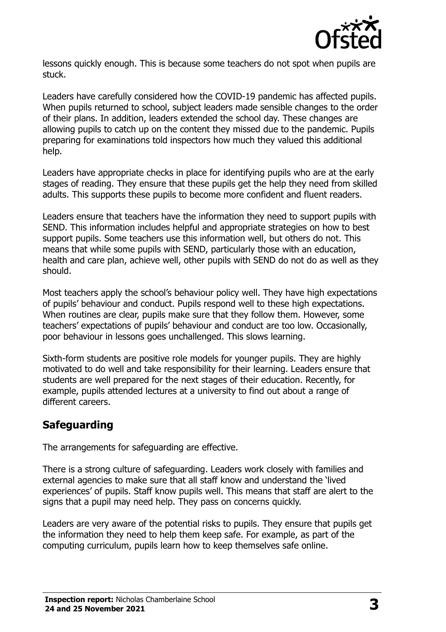

lessons quickly enough. This is because some teachers do not spot when pupils are stuck.

Leaders have carefully considered how the COVID-19 pandemic has affected pupils. When pupils returned to school, subject leaders made sensible changes to the order of their plans. In addition, leaders extended the school day. These changes are allowing pupils to catch up on the content they missed due to the pandemic. Pupils preparing for examinations told inspectors how much they valued this additional help.

Leaders have appropriate checks in place for identifying pupils who are at the early stages of reading. They ensure that these pupils get the help they need from skilled adults. This supports these pupils to become more confident and fluent readers.

Leaders ensure that teachers have the information they need to support pupils with SEND. This information includes helpful and appropriate strategies on how to best support pupils. Some teachers use this information well, but others do not. This means that while some pupils with SEND, particularly those with an education, health and care plan, achieve well, other pupils with SEND do not do as well as they should.

Most teachers apply the school's behaviour policy well. They have high expectations of pupils' behaviour and conduct. Pupils respond well to these high expectations. When routines are clear, pupils make sure that they follow them. However, some teachers' expectations of pupils' behaviour and conduct are too low. Occasionally, poor behaviour in lessons goes unchallenged. This slows learning.

Sixth-form students are positive role models for younger pupils. They are highly motivated to do well and take responsibility for their learning. Leaders ensure that students are well prepared for the next stages of their education. Recently, for example, pupils attended lectures at a university to find out about a range of different careers.

### **Safeguarding**

The arrangements for safeguarding are effective.

There is a strong culture of safeguarding. Leaders work closely with families and external agencies to make sure that all staff know and understand the 'lived experiences' of pupils. Staff know pupils well. This means that staff are alert to the signs that a pupil may need help. They pass on concerns quickly.

Leaders are very aware of the potential risks to pupils. They ensure that pupils get the information they need to help them keep safe. For example, as part of the computing curriculum, pupils learn how to keep themselves safe online.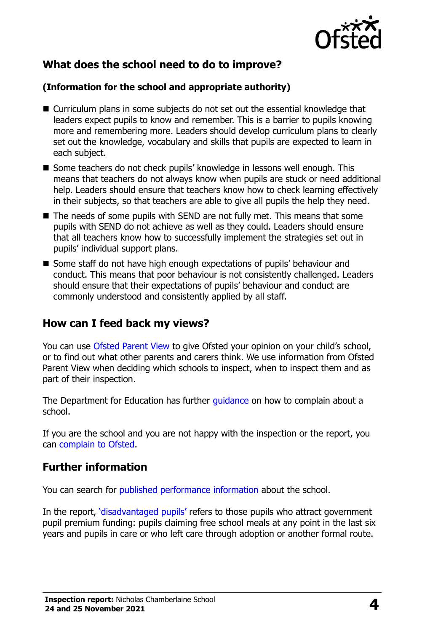

## **What does the school need to do to improve?**

#### **(Information for the school and appropriate authority)**

- Curriculum plans in some subjects do not set out the essential knowledge that leaders expect pupils to know and remember. This is a barrier to pupils knowing more and remembering more. Leaders should develop curriculum plans to clearly set out the knowledge, vocabulary and skills that pupils are expected to learn in each subject.
- Some teachers do not check pupils' knowledge in lessons well enough. This means that teachers do not always know when pupils are stuck or need additional help. Leaders should ensure that teachers know how to check learning effectively in their subjects, so that teachers are able to give all pupils the help they need.
- The needs of some pupils with SEND are not fully met. This means that some pupils with SEND do not achieve as well as they could. Leaders should ensure that all teachers know how to successfully implement the strategies set out in pupils' individual support plans.
- Some staff do not have high enough expectations of pupils' behaviour and conduct. This means that poor behaviour is not consistently challenged. Leaders should ensure that their expectations of pupils' behaviour and conduct are commonly understood and consistently applied by all staff.

#### **How can I feed back my views?**

You can use [Ofsted Parent View](http://parentview.ofsted.gov.uk/) to give Ofsted your opinion on your child's school, or to find out what other parents and carers think. We use information from Ofsted Parent View when deciding which schools to inspect, when to inspect them and as part of their inspection.

The Department for Education has further quidance on how to complain about a school.

If you are the school and you are not happy with the inspection or the report, you can [complain to Ofsted.](http://www.gov.uk/complain-ofsted-report)

### **Further information**

You can search for [published performance information](http://www.compare-school-performance.service.gov.uk/) about the school.

In the report, '[disadvantaged pupils](http://www.gov.uk/guidance/pupil-premium-information-for-schools-and-alternative-provision-settings)' refers to those pupils who attract government pupil premium funding: pupils claiming free school meals at any point in the last six years and pupils in care or who left care through adoption or another formal route.

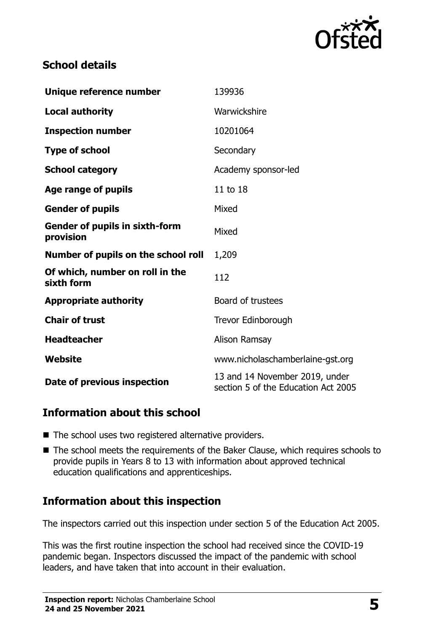

#### **School details**

| Unique reference number                            | 139936                                                                |
|----------------------------------------------------|-----------------------------------------------------------------------|
| <b>Local authority</b>                             | Warwickshire                                                          |
| <b>Inspection number</b>                           | 10201064                                                              |
| <b>Type of school</b>                              | Secondary                                                             |
| <b>School category</b>                             | Academy sponsor-led                                                   |
| Age range of pupils                                | 11 to 18                                                              |
| <b>Gender of pupils</b>                            | Mixed                                                                 |
| <b>Gender of pupils in sixth-form</b><br>provision | Mixed                                                                 |
| Number of pupils on the school roll                | 1,209                                                                 |
| Of which, number on roll in the<br>sixth form      | 112                                                                   |
| <b>Appropriate authority</b>                       | Board of trustees                                                     |
| <b>Chair of trust</b>                              | Trevor Edinborough                                                    |
| <b>Headteacher</b>                                 | Alison Ramsay                                                         |
| Website                                            | www.nicholaschamberlaine-gst.org                                      |
| Date of previous inspection                        | 13 and 14 November 2019, under<br>section 5 of the Education Act 2005 |

### **Information about this school**

- The school uses two registered alternative providers.
- The school meets the requirements of the Baker Clause, which requires schools to provide pupils in Years 8 to 13 with information about approved technical education qualifications and apprenticeships.

# **Information about this inspection**

The inspectors carried out this inspection under section 5 of the Education Act 2005.

This was the first routine inspection the school had received since the COVID-19 pandemic began. Inspectors discussed the impact of the pandemic with school leaders, and have taken that into account in their evaluation.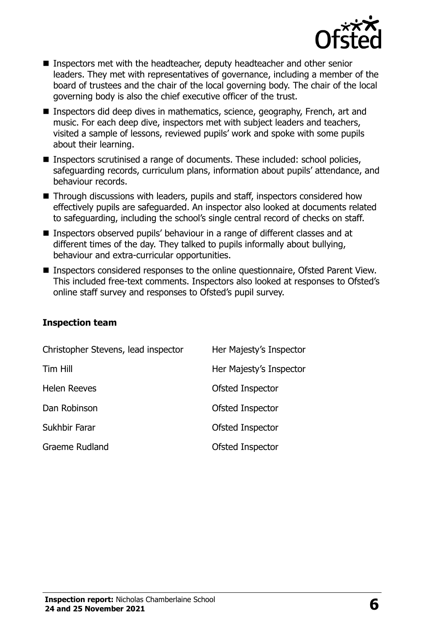

- Inspectors met with the headteacher, deputy headteacher and other senior leaders. They met with representatives of governance, including a member of the board of trustees and the chair of the local governing body. The chair of the local governing body is also the chief executive officer of the trust.
- Inspectors did deep dives in mathematics, science, geography, French, art and music. For each deep dive, inspectors met with subject leaders and teachers, visited a sample of lessons, reviewed pupils' work and spoke with some pupils about their learning.
- Inspectors scrutinised a range of documents. These included: school policies, safeguarding records, curriculum plans, information about pupils' attendance, and behaviour records.
- Through discussions with leaders, pupils and staff, inspectors considered how effectively pupils are safeguarded. An inspector also looked at documents related to safeguarding, including the school's single central record of checks on staff.
- Inspectors observed pupils' behaviour in a range of different classes and at different times of the day. They talked to pupils informally about bullying, behaviour and extra-curricular opportunities.
- Inspectors considered responses to the online questionnaire, Ofsted Parent View. This included free-text comments. Inspectors also looked at responses to Ofsted's online staff survey and responses to Ofsted's pupil survey.

#### **Inspection team**

| Christopher Stevens, lead inspector | Her Majesty's Inspector |
|-------------------------------------|-------------------------|
| Tim Hill                            | Her Majesty's Inspector |
| <b>Helen Reeves</b>                 | Ofsted Inspector        |
| Dan Robinson                        | Ofsted Inspector        |
| Sukhbir Farar                       | Ofsted Inspector        |
| <b>Graeme Rudland</b>               | Ofsted Inspector        |